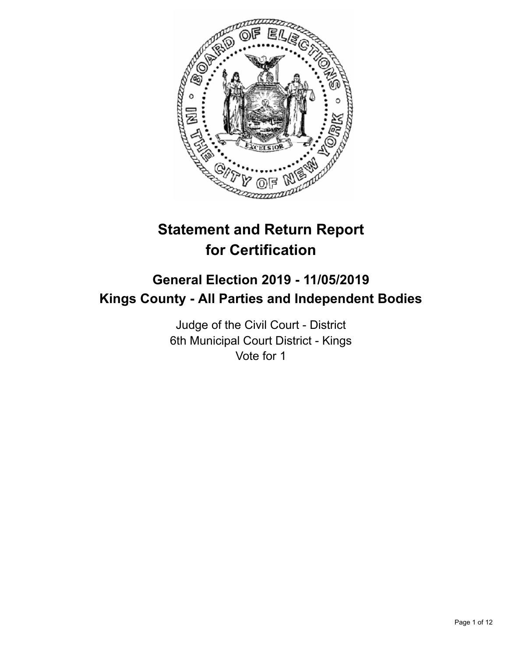

# **Statement and Return Report for Certification**

## **General Election 2019 - 11/05/2019 Kings County - All Parties and Independent Bodies**

Judge of the Civil Court - District 6th Municipal Court District - Kings Vote for 1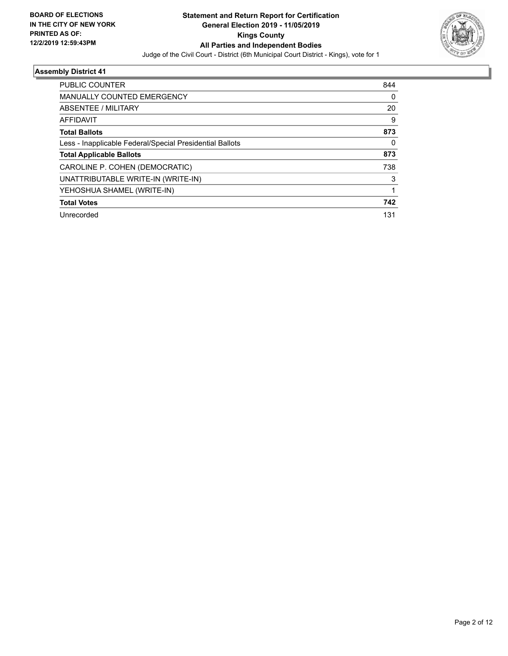

| <b>PUBLIC COUNTER</b>                                    | 844 |
|----------------------------------------------------------|-----|
| <b>MANUALLY COUNTED EMERGENCY</b>                        | 0   |
| ABSENTEE / MILITARY                                      | 20  |
| <b>AFFIDAVIT</b>                                         | 9   |
| <b>Total Ballots</b>                                     | 873 |
| Less - Inapplicable Federal/Special Presidential Ballots | 0   |
| <b>Total Applicable Ballots</b>                          | 873 |
| CAROLINE P. COHEN (DEMOCRATIC)                           | 738 |
| UNATTRIBUTABLE WRITE-IN (WRITE-IN)                       | 3   |
| YEHOSHUA SHAMEL (WRITE-IN)                               |     |
| <b>Total Votes</b>                                       | 742 |
| Unrecorded                                               | 131 |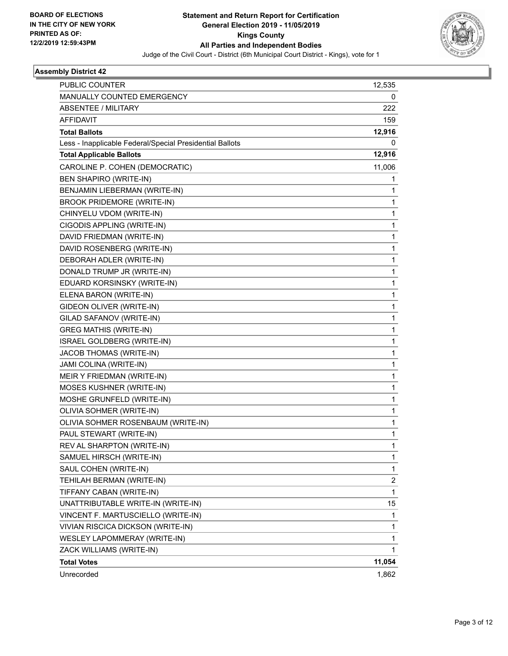

| <b>PUBLIC COUNTER</b>                                    | 12,535                  |
|----------------------------------------------------------|-------------------------|
| MANUALLY COUNTED EMERGENCY                               | 0                       |
| <b>ABSENTEE / MILITARY</b>                               | 222                     |
| <b>AFFIDAVIT</b>                                         | 159                     |
| <b>Total Ballots</b>                                     | 12,916                  |
| Less - Inapplicable Federal/Special Presidential Ballots | 0                       |
| <b>Total Applicable Ballots</b>                          | 12,916                  |
| CAROLINE P. COHEN (DEMOCRATIC)                           | 11,006                  |
| <b>BEN SHAPIRO (WRITE-IN)</b>                            | 1                       |
| BENJAMIN LIEBERMAN (WRITE-IN)                            | 1                       |
| <b>BROOK PRIDEMORE (WRITE-IN)</b>                        | 1                       |
| CHINYELU VDOM (WRITE-IN)                                 | 1                       |
| CIGODIS APPLING (WRITE-IN)                               | $\mathbf{1}$            |
| DAVID FRIEDMAN (WRITE-IN)                                | 1                       |
| DAVID ROSENBERG (WRITE-IN)                               | 1                       |
| DEBORAH ADLER (WRITE-IN)                                 | 1                       |
| DONALD TRUMP JR (WRITE-IN)                               | 1                       |
| EDUARD KORSINSKY (WRITE-IN)                              | 1                       |
| ELENA BARON (WRITE-IN)                                   | $\mathbf{1}$            |
| GIDEON OLIVER (WRITE-IN)                                 | 1                       |
| GILAD SAFANOV (WRITE-IN)                                 | 1                       |
| <b>GREG MATHIS (WRITE-IN)</b>                            | 1                       |
| ISRAEL GOLDBERG (WRITE-IN)                               | 1                       |
| JACOB THOMAS (WRITE-IN)                                  | 1                       |
| JAMI COLINA (WRITE-IN)                                   | $\mathbf{1}$            |
| MEIR Y FRIEDMAN (WRITE-IN)                               | 1                       |
| MOSES KUSHNER (WRITE-IN)                                 | 1                       |
| MOSHE GRUNFELD (WRITE-IN)                                | 1                       |
| OLIVIA SOHMER (WRITE-IN)                                 | 1                       |
| OLIVIA SOHMER ROSENBAUM (WRITE-IN)                       | 1                       |
| PAUL STEWART (WRITE-IN)                                  | $\mathbf{1}$            |
| REV AL SHARPTON (WRITE-IN)                               | 1                       |
| SAMUEL HIRSCH (WRITE-IN)                                 | 1                       |
| SAUL COHEN (WRITE-IN)                                    | $\mathbf{1}$            |
| TEHILAH BERMAN (WRITE-IN)                                | $\overline{\mathbf{c}}$ |
| TIFFANY CABAN (WRITE-IN)                                 | $\mathbf{1}$            |
| UNATTRIBUTABLE WRITE-IN (WRITE-IN)                       | 15                      |
| VINCENT F. MARTUSCIELLO (WRITE-IN)                       | 1                       |
| VIVIAN RISCICA DICKSON (WRITE-IN)                        | 1                       |
| WESLEY LAPOMMERAY (WRITE-IN)                             | $\mathbf{1}$            |
| ZACK WILLIAMS (WRITE-IN)                                 | 1                       |
| <b>Total Votes</b>                                       | 11,054                  |
| Unrecorded                                               | 1,862                   |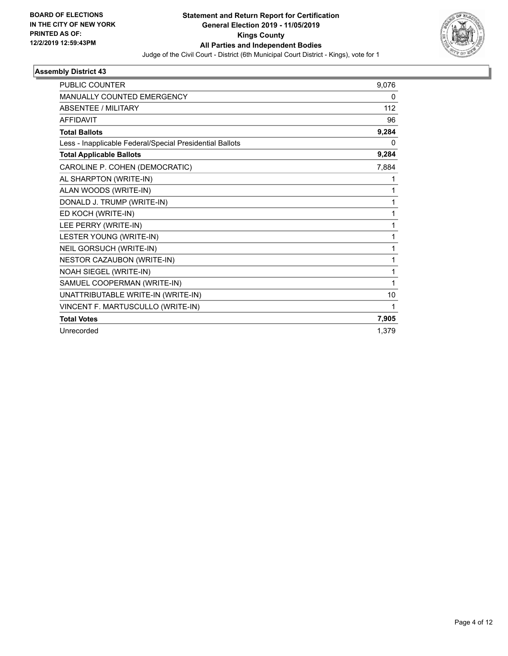

| <b>PUBLIC COUNTER</b>                                    | 9,076    |
|----------------------------------------------------------|----------|
| MANUALLY COUNTED EMERGENCY                               | 0        |
| <b>ABSENTEE / MILITARY</b>                               | 112      |
| <b>AFFIDAVIT</b>                                         | 96       |
| <b>Total Ballots</b>                                     | 9,284    |
| Less - Inapplicable Federal/Special Presidential Ballots | $\Omega$ |
| <b>Total Applicable Ballots</b>                          | 9,284    |
| CAROLINE P. COHEN (DEMOCRATIC)                           | 7,884    |
| AL SHARPTON (WRITE-IN)                                   | 1        |
| ALAN WOODS (WRITE-IN)                                    | 1        |
| DONALD J. TRUMP (WRITE-IN)                               | 1        |
| ED KOCH (WRITE-IN)                                       | 1        |
| LEE PERRY (WRITE-IN)                                     | 1        |
| LESTER YOUNG (WRITE-IN)                                  | 1        |
| NEIL GORSUCH (WRITE-IN)                                  | 1        |
| NESTOR CAZAUBON (WRITE-IN)                               | 1        |
| NOAH SIEGEL (WRITE-IN)                                   | 1        |
| SAMUEL COOPERMAN (WRITE-IN)                              | 1        |
| UNATTRIBUTABLE WRITE-IN (WRITE-IN)                       | 10       |
| VINCENT F. MARTUSCULLO (WRITE-IN)                        | 1        |
| <b>Total Votes</b>                                       | 7,905    |
| Unrecorded                                               | 1.379    |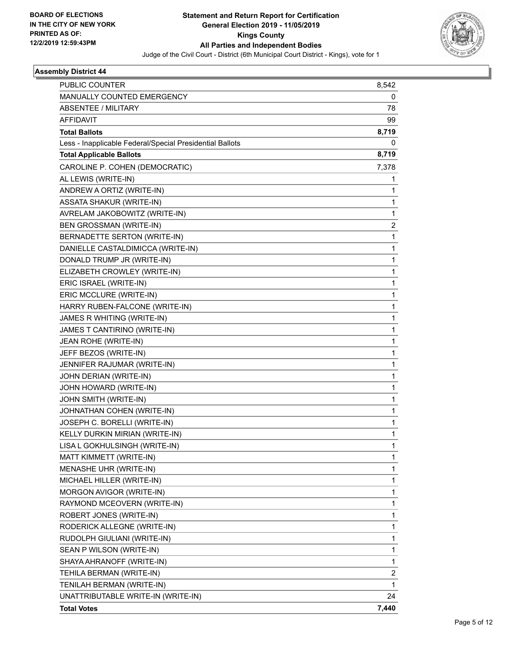

| PUBLIC COUNTER                                           | 8,542        |
|----------------------------------------------------------|--------------|
| MANUALLY COUNTED EMERGENCY                               | 0            |
| <b>ABSENTEE / MILITARY</b>                               | 78           |
| <b>AFFIDAVIT</b>                                         | 99           |
| <b>Total Ballots</b>                                     | 8,719        |
| Less - Inapplicable Federal/Special Presidential Ballots | 0            |
| <b>Total Applicable Ballots</b>                          | 8,719        |
| CAROLINE P. COHEN (DEMOCRATIC)                           | 7,378        |
| AL LEWIS (WRITE-IN)                                      | 1            |
| ANDREW A ORTIZ (WRITE-IN)                                | 1            |
| ASSATA SHAKUR (WRITE-IN)                                 | 1            |
| AVRELAM JAKOBOWITZ (WRITE-IN)                            | 1            |
| <b>BEN GROSSMAN (WRITE-IN)</b>                           | 2            |
| BERNADETTE SERTON (WRITE-IN)                             | $\mathbf{1}$ |
| DANIELLE CASTALDIMICCA (WRITE-IN)                        | 1            |
| DONALD TRUMP JR (WRITE-IN)                               | 1            |
| ELIZABETH CROWLEY (WRITE-IN)                             | $\mathbf{1}$ |
| ERIC ISRAEL (WRITE-IN)                                   | 1            |
| ERIC MCCLURE (WRITE-IN)                                  | $\mathbf{1}$ |
| HARRY RUBEN-FALCONE (WRITE-IN)                           | $\mathbf{1}$ |
| JAMES R WHITING (WRITE-IN)                               | 1            |
| JAMES T CANTIRINO (WRITE-IN)                             | 1            |
| JEAN ROHE (WRITE-IN)                                     | $\mathbf{1}$ |
| JEFF BEZOS (WRITE-IN)                                    | 1            |
| JENNIFER RAJUMAR (WRITE-IN)                              | $\mathbf{1}$ |
| JOHN DERIAN (WRITE-IN)                                   | $\mathbf{1}$ |
| JOHN HOWARD (WRITE-IN)                                   | 1            |
| JOHN SMITH (WRITE-IN)                                    | $\mathbf{1}$ |
| JOHNATHAN COHEN (WRITE-IN)                               | $\mathbf{1}$ |
| JOSEPH C. BORELLI (WRITE-IN)                             | 1            |
| KELLY DURKIN MIRIAN (WRITE-IN)                           | 1            |
| LISA L GOKHULSINGH (WRITE-IN)                            | 1            |
| MATT KIMMETT (WRITE-IN)                                  | 1            |
| MENASHE UHR (WRITE-IN)                                   | 1            |
| MICHAEL HILLER (WRITE-IN)                                | 1            |
| MORGON AVIGOR (WRITE-IN)                                 | 1            |
| RAYMOND MCEOVERN (WRITE-IN)                              | $\mathbf{1}$ |
| ROBERT JONES (WRITE-IN)                                  | $\mathbf{1}$ |
| RODERICK ALLEGNE (WRITE-IN)                              | 1            |
| RUDOLPH GIULIANI (WRITE-IN)                              | $\mathbf{1}$ |
| SEAN P WILSON (WRITE-IN)                                 | $\mathbf{1}$ |
| SHAYA AHRANOFF (WRITE-IN)                                | 1            |
| TEHILA BERMAN (WRITE-IN)                                 | 2            |
| TENILAH BERMAN (WRITE-IN)                                | $\mathbf{1}$ |
| UNATTRIBUTABLE WRITE-IN (WRITE-IN)                       | 24           |
| <b>Total Votes</b>                                       | 7,440        |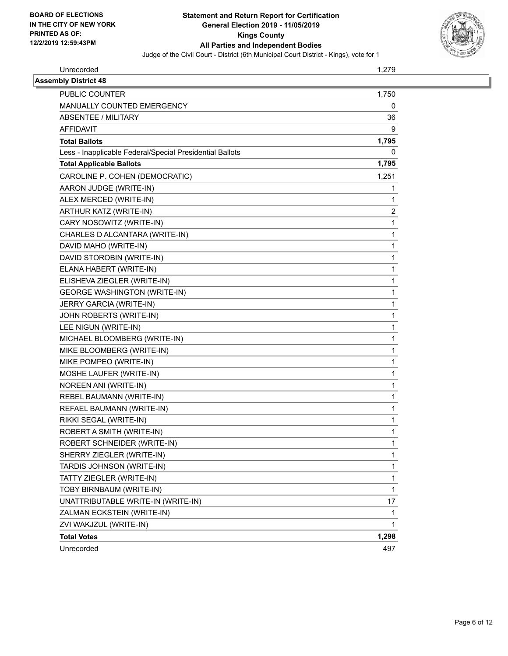

Unrecorded 1,279

| <b>Assembly District 48</b>                              |       |
|----------------------------------------------------------|-------|
| <b>PUBLIC COUNTER</b>                                    | 1,750 |
| <b>MANUALLY COUNTED EMERGENCY</b>                        |       |
| ABSENTEE / MILITARY                                      |       |
| <b>AFFIDAVIT</b>                                         |       |
| <b>Total Ballots</b>                                     | 1,795 |
| Less - Inapplicable Federal/Special Presidential Ballots |       |
| <b>Total Applicable Ballots</b>                          | 1,795 |
| CAROLINE P. COHEN (DEMOCRATIC)                           | 1,251 |
| AARON JUDGE (WRITE-IN)                                   |       |
| ALEX MERCED (WRITE-IN)                                   |       |
| ARTHUR KATZ (WRITE-IN)                                   |       |
| CARY NOSOWITZ (WRITE-IN)                                 |       |
| CHARLES D ALCANTARA (WRITE-IN)                           |       |
| DAVID MAHO (WRITE-IN)                                    |       |
| DAVID STOROBIN (WRITE-IN)                                |       |
| ELANA HABERT (WRITE-IN)                                  |       |
| ELISHEVA ZIEGLER (WRITE-IN)                              |       |
| <b>GEORGE WASHINGTON (WRITE-IN)</b>                      |       |
| JERRY GARCIA (WRITE-IN)                                  |       |
| JOHN ROBERTS (WRITE-IN)                                  |       |
| LEE NIGUN (WRITE-IN)                                     |       |
| MICHAEL BLOOMBERG (WRITE-IN)                             |       |
| MIKE BLOOMBERG (WRITE-IN)                                |       |
| MIKE POMPEO (WRITE-IN)                                   |       |
| MOSHE LAUFER (WRITE-IN)                                  |       |
| NOREEN ANI (WRITE-IN)                                    |       |
| REBEL BAUMANN (WRITE-IN)                                 |       |
| REFAEL BAUMANN (WRITE-IN)                                |       |
| RIKKI SEGAL (WRITE-IN)                                   |       |
| ROBERT A SMITH (WRITE-IN)                                |       |
| ROBERT SCHNEIDER (WRITE-IN)                              |       |
| SHERRY ZIEGLER (WRITE-IN)                                |       |
| TARDIS JOHNSON (WRITE-IN)                                |       |
| TATTY ZIEGLER (WRITE-IN)                                 |       |
| TOBY BIRNBAUM (WRITE-IN)                                 |       |
| UNATTRIBUTABLE WRITE-IN (WRITE-IN)                       |       |
| ZALMAN ECKSTEIN (WRITE-IN)                               |       |
| ZVI WAKJZUL (WRITE-IN)                                   |       |
| <b>Total Votes</b>                                       | 1,298 |
| Unrecorded                                               | 497   |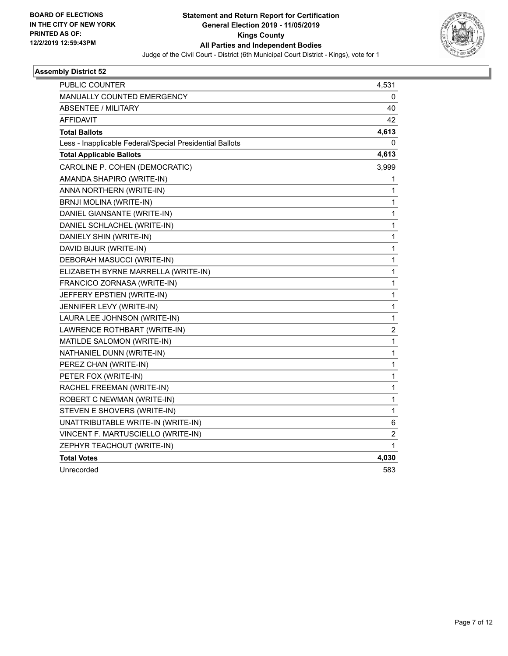

| PUBLIC COUNTER                                           | 4,531                   |
|----------------------------------------------------------|-------------------------|
| MANUALLY COUNTED EMERGENCY                               | 0                       |
| <b>ABSENTEE / MILITARY</b>                               | 40                      |
| <b>AFFIDAVIT</b>                                         | 42                      |
| <b>Total Ballots</b>                                     | 4,613                   |
| Less - Inapplicable Federal/Special Presidential Ballots | 0                       |
| <b>Total Applicable Ballots</b>                          | 4,613                   |
| CAROLINE P. COHEN (DEMOCRATIC)                           | 3,999                   |
| AMANDA SHAPIRO (WRITE-IN)                                | 1                       |
| ANNA NORTHERN (WRITE-IN)                                 | 1                       |
| BRNJI MOLINA (WRITE-IN)                                  | 1                       |
| DANIEL GIANSANTE (WRITE-IN)                              | 1                       |
| DANIEL SCHLACHEL (WRITE-IN)                              | 1                       |
| DANIELY SHIN (WRITE-IN)                                  | 1                       |
| DAVID BIJUR (WRITE-IN)                                   | 1                       |
| DEBORAH MASUCCI (WRITE-IN)                               | 1                       |
| ELIZABETH BYRNE MARRELLA (WRITE-IN)                      | 1                       |
| FRANCICO ZORNASA (WRITE-IN)                              | 1                       |
| JEFFERY EPSTIEN (WRITE-IN)                               | 1                       |
| JENNIFER LEVY (WRITE-IN)                                 | 1                       |
| LAURA LEE JOHNSON (WRITE-IN)                             | 1                       |
| LAWRENCE ROTHBART (WRITE-IN)                             | $\overline{\mathbf{c}}$ |
| MATILDE SALOMON (WRITE-IN)                               | 1                       |
| NATHANIEL DUNN (WRITE-IN)                                | 1                       |
| PEREZ CHAN (WRITE-IN)                                    | 1                       |
| PETER FOX (WRITE-IN)                                     | $\mathbf{1}$            |
| RACHEL FREEMAN (WRITE-IN)                                | 1                       |
| ROBERT C NEWMAN (WRITE-IN)                               | 1                       |
| STEVEN E SHOVERS (WRITE-IN)                              | 1                       |
| UNATTRIBUTABLE WRITE-IN (WRITE-IN)                       | 6                       |
| VINCENT F. MARTUSCIELLO (WRITE-IN)                       | $\overline{c}$          |
| ZEPHYR TEACHOUT (WRITE-IN)                               | 1                       |
| <b>Total Votes</b>                                       | 4,030                   |
| Unrecorded                                               | 583                     |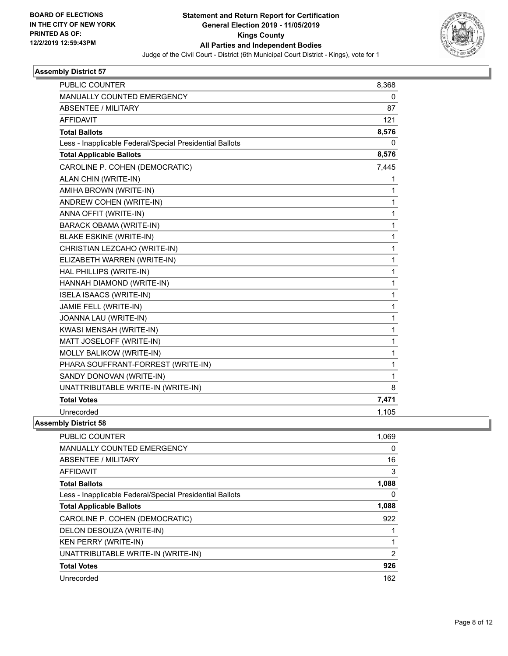

| <b>PUBLIC COUNTER</b>                                    | 8,368 |
|----------------------------------------------------------|-------|
| <b>MANUALLY COUNTED EMERGENCY</b>                        | 0     |
| <b>ABSENTEE / MILITARY</b>                               | 87    |
| <b>AFFIDAVIT</b>                                         | 121   |
| <b>Total Ballots</b>                                     | 8,576 |
| Less - Inapplicable Federal/Special Presidential Ballots | 0     |
| <b>Total Applicable Ballots</b>                          | 8,576 |
| CAROLINE P. COHEN (DEMOCRATIC)                           | 7,445 |
| ALAN CHIN (WRITE-IN)                                     | 1     |
| AMIHA BROWN (WRITE-IN)                                   | 1     |
| ANDREW COHEN (WRITE-IN)                                  | 1     |
| ANNA OFFIT (WRITE-IN)                                    | 1     |
| <b>BARACK OBAMA (WRITE-IN)</b>                           | 1     |
| <b>BLAKE ESKINE (WRITE-IN)</b>                           | 1     |
| CHRISTIAN LEZCAHO (WRITE-IN)                             | 1     |
| ELIZABETH WARREN (WRITE-IN)                              | 1     |
| HAL PHILLIPS (WRITE-IN)                                  | 1     |
| HANNAH DIAMOND (WRITE-IN)                                | 1     |
| <b>ISELA ISAACS (WRITE-IN)</b>                           | 1     |
| JAMIE FELL (WRITE-IN)                                    | 1     |
| JOANNA LAU (WRITE-IN)                                    | 1     |
| KWASI MENSAH (WRITE-IN)                                  | 1     |
| MATT JOSELOFF (WRITE-IN)                                 | 1     |
| MOLLY BALIKOW (WRITE-IN)                                 | 1     |
| PHARA SOUFFRANT-FORREST (WRITE-IN)                       | 1     |
| SANDY DONOVAN (WRITE-IN)                                 | 1     |
| UNATTRIBUTABLE WRITE-IN (WRITE-IN)                       | 8     |
| <b>Total Votes</b>                                       | 7,471 |
| Unrecorded                                               | 1,105 |
|                                                          |       |

| PUBLIC COUNTER                                           | 1,069          |
|----------------------------------------------------------|----------------|
| <b>MANUALLY COUNTED EMERGENCY</b>                        | 0              |
| ABSENTEE / MILITARY                                      | 16             |
| AFFIDAVIT                                                | 3              |
| <b>Total Ballots</b>                                     | 1,088          |
| Less - Inapplicable Federal/Special Presidential Ballots | 0              |
| <b>Total Applicable Ballots</b>                          | 1,088          |
| CAROLINE P. COHEN (DEMOCRATIC)                           | 922            |
| DELON DESOUZA (WRITE-IN)                                 |                |
| <b>KEN PERRY (WRITE-IN)</b>                              | 1              |
| UNATTRIBUTABLE WRITE-IN (WRITE-IN)                       | $\overline{2}$ |
| <b>Total Votes</b>                                       | 926            |
| Unrecorded                                               | 162            |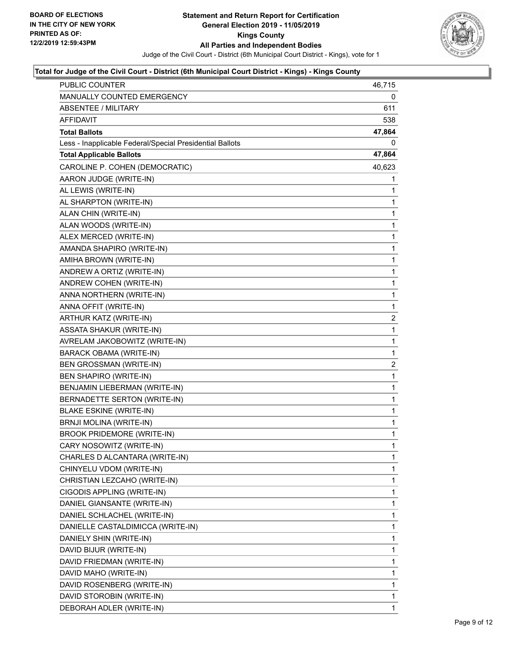

| <b>PUBLIC COUNTER</b>                                    | 46,715       |
|----------------------------------------------------------|--------------|
| <b>MANUALLY COUNTED EMERGENCY</b>                        | 0            |
| <b>ABSENTEE / MILITARY</b>                               | 611          |
| AFFIDAVIT                                                | 538          |
| <b>Total Ballots</b>                                     | 47,864       |
| Less - Inapplicable Federal/Special Presidential Ballots | 0            |
| <b>Total Applicable Ballots</b>                          | 47,864       |
| CAROLINE P. COHEN (DEMOCRATIC)                           | 40,623       |
| AARON JUDGE (WRITE-IN)                                   | 1            |
| AL LEWIS (WRITE-IN)                                      | 1            |
| AL SHARPTON (WRITE-IN)                                   | 1            |
| ALAN CHIN (WRITE-IN)                                     | 1            |
| ALAN WOODS (WRITE-IN)                                    | 1            |
| ALEX MERCED (WRITE-IN)                                   | 1            |
| AMANDA SHAPIRO (WRITE-IN)                                | 1            |
| AMIHA BROWN (WRITE-IN)                                   | $\mathbf{1}$ |
| ANDREW A ORTIZ (WRITE-IN)                                | 1            |
| ANDREW COHEN (WRITE-IN)                                  | 1            |
| ANNA NORTHERN (WRITE-IN)                                 | 1            |
| ANNA OFFIT (WRITE-IN)                                    | 1            |
| ARTHUR KATZ (WRITE-IN)                                   | 2            |
| ASSATA SHAKUR (WRITE-IN)                                 | $\mathbf{1}$ |
| AVRELAM JAKOBOWITZ (WRITE-IN)                            | 1            |
| BARACK OBAMA (WRITE-IN)                                  | 1            |
| BEN GROSSMAN (WRITE-IN)                                  | 2            |
| BEN SHAPIRO (WRITE-IN)                                   | 1            |
| BENJAMIN LIEBERMAN (WRITE-IN)                            | 1            |
| BERNADETTE SERTON (WRITE-IN)                             | $\mathbf{1}$ |
| <b>BLAKE ESKINE (WRITE-IN)</b>                           | 1            |
| BRNJI MOLINA (WRITE-IN)                                  | 1            |
| <b>BROOK PRIDEMORE (WRITE-IN)</b>                        | 1            |
| CARY NOSOWITZ (WRITE-IN)                                 | 1            |
| CHARLES D ALCANTARA (WRITE-IN)                           | 1            |
| CHINYELU VDOM (WRITE-IN)                                 | 1            |
| CHRISTIAN LEZCAHO (WRITE-IN)                             | 1            |
| CIGODIS APPLING (WRITE-IN)                               | 1            |
| DANIEL GIANSANTE (WRITE-IN)                              | 1            |
| DANIEL SCHLACHEL (WRITE-IN)                              | 1            |
| DANIELLE CASTALDIMICCA (WRITE-IN)                        | 1            |
| DANIELY SHIN (WRITE-IN)                                  | 1            |
| DAVID BIJUR (WRITE-IN)                                   | 1            |
| DAVID FRIEDMAN (WRITE-IN)                                | 1            |
| DAVID MAHO (WRITE-IN)                                    | 1            |
| DAVID ROSENBERG (WRITE-IN)                               | 1            |
| DAVID STOROBIN (WRITE-IN)                                | 1            |
| DEBORAH ADLER (WRITE-IN)                                 | 1            |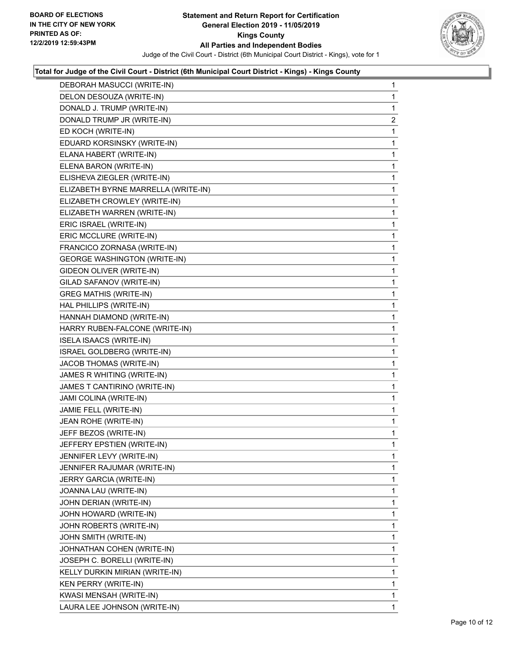

| DEBORAH MASUCCI (WRITE-IN)          | 1              |
|-------------------------------------|----------------|
| DELON DESOUZA (WRITE-IN)            | 1              |
| DONALD J. TRUMP (WRITE-IN)          | 1              |
| DONALD TRUMP JR (WRITE-IN)          | $\overline{c}$ |
| ED KOCH (WRITE-IN)                  | 1              |
| EDUARD KORSINSKY (WRITE-IN)         | 1              |
| ELANA HABERT (WRITE-IN)             | $\mathbf{1}$   |
| ELENA BARON (WRITE-IN)              | 1              |
| ELISHEVA ZIEGLER (WRITE-IN)         | 1              |
| ELIZABETH BYRNE MARRELLA (WRITE-IN) | 1              |
| ELIZABETH CROWLEY (WRITE-IN)        | 1              |
| ELIZABETH WARREN (WRITE-IN)         | 1              |
| ERIC ISRAEL (WRITE-IN)              | $\mathbf{1}$   |
| ERIC MCCLURE (WRITE-IN)             | 1              |
| FRANCICO ZORNASA (WRITE-IN)         | 1              |
| <b>GEORGE WASHINGTON (WRITE-IN)</b> | 1              |
| GIDEON OLIVER (WRITE-IN)            | 1              |
| GILAD SAFANOV (WRITE-IN)            | 1              |
| <b>GREG MATHIS (WRITE-IN)</b>       | $\mathbf{1}$   |
| HAL PHILLIPS (WRITE-IN)             | 1              |
| HANNAH DIAMOND (WRITE-IN)           | 1              |
| HARRY RUBEN-FALCONE (WRITE-IN)      | 1              |
| ISELA ISAACS (WRITE-IN)             | 1              |
| ISRAEL GOLDBERG (WRITE-IN)          | 1              |
| JACOB THOMAS (WRITE-IN)             | $\mathbf{1}$   |
| JAMES R WHITING (WRITE-IN)          | 1              |
| JAMES T CANTIRINO (WRITE-IN)        | 1              |
| JAMI COLINA (WRITE-IN)              | 1              |
| JAMIE FELL (WRITE-IN)               | 1              |
| JEAN ROHE (WRITE-IN)                | 1              |
| JEFF BEZOS (WRITE-IN)               | 1              |
| JEFFERY EPSTIEN (WRITE-IN)          | 1              |
| JENNIFER LEVY (WRITE-IN)            | 1              |
| JENNIFER RAJUMAR (WRITE-IN)         | 1              |
| JERRY GARCIA (WRITE-IN)             | 1              |
| JOANNA LAU (WRITE-IN)               | 1              |
| JOHN DERIAN (WRITE-IN)              | 1              |
| JOHN HOWARD (WRITE-IN)              | 1              |
| JOHN ROBERTS (WRITE-IN)             | 1              |
| JOHN SMITH (WRITE-IN)               | 1              |
| JOHNATHAN COHEN (WRITE-IN)          | 1              |
| JOSEPH C. BORELLI (WRITE-IN)        | 1              |
| KELLY DURKIN MIRIAN (WRITE-IN)      | 1              |
| KEN PERRY (WRITE-IN)                | 1              |
| KWASI MENSAH (WRITE-IN)             | 1              |
| LAURA LEE JOHNSON (WRITE-IN)        | 1.             |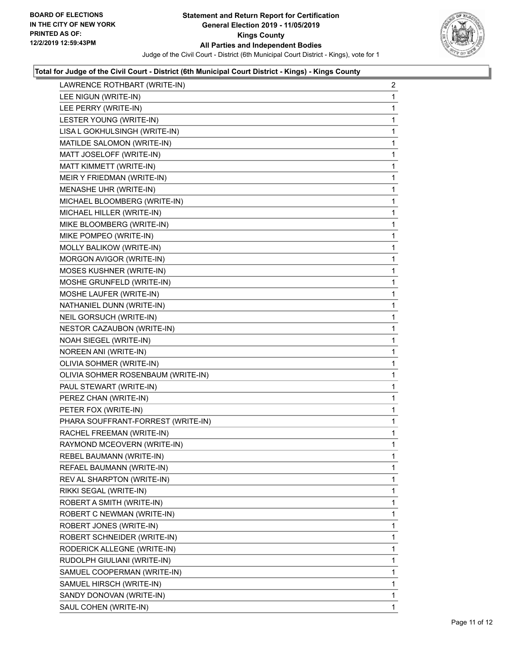

| LAWRENCE ROTHBART (WRITE-IN)       | $\overline{a}$ |
|------------------------------------|----------------|
| LEE NIGUN (WRITE-IN)               | $\mathbf{1}$   |
| LEE PERRY (WRITE-IN)               | 1              |
| LESTER YOUNG (WRITE-IN)            | 1              |
| LISA L GOKHULSINGH (WRITE-IN)      | 1              |
| MATILDE SALOMON (WRITE-IN)         | 1              |
| MATT JOSELOFF (WRITE-IN)           | 1              |
| MATT KIMMETT (WRITE-IN)            | 1              |
| MEIR Y FRIEDMAN (WRITE-IN)         | 1              |
| MENASHE UHR (WRITE-IN)             | 1              |
| MICHAEL BLOOMBERG (WRITE-IN)       | 1              |
| MICHAEL HILLER (WRITE-IN)          | 1              |
| MIKE BLOOMBERG (WRITE-IN)          | 1              |
| MIKE POMPEO (WRITE-IN)             | 1              |
| MOLLY BALIKOW (WRITE-IN)           | 1              |
| MORGON AVIGOR (WRITE-IN)           | 1              |
| MOSES KUSHNER (WRITE-IN)           | 1              |
| MOSHE GRUNFELD (WRITE-IN)          | 1              |
| MOSHE LAUFER (WRITE-IN)            | 1              |
| NATHANIEL DUNN (WRITE-IN)          | 1              |
| NEIL GORSUCH (WRITE-IN)            | 1              |
| NESTOR CAZAUBON (WRITE-IN)         | 1              |
| NOAH SIEGEL (WRITE-IN)             | 1              |
| NOREEN ANI (WRITE-IN)              | 1              |
| OLIVIA SOHMER (WRITE-IN)           | 1              |
| OLIVIA SOHMER ROSENBAUM (WRITE-IN) | 1              |
| PAUL STEWART (WRITE-IN)            | 1              |
| PEREZ CHAN (WRITE-IN)              | 1              |
| PETER FOX (WRITE-IN)               | 1              |
| PHARA SOUFFRANT-FORREST (WRITE-IN) | 1              |
| RACHEL FREEMAN (WRITE-IN)          | 1              |
| RAYMOND MCEOVERN (WRITE-IN)        | 1              |
| REBEL BAUMANN (WRITE-IN)           | 1              |
| REFAEL BAUMANN (WRITE-IN)          | 1              |
| REV AL SHARPTON (WRITE-IN)         | 1              |
| RIKKI SEGAL (WRITE-IN)             | 1              |
| ROBERT A SMITH (WRITE-IN)          | 1              |
| ROBERT C NEWMAN (WRITE-IN)         | 1              |
| ROBERT JONES (WRITE-IN)            | 1              |
| ROBERT SCHNEIDER (WRITE-IN)        | 1              |
| RODERICK ALLEGNE (WRITE-IN)        | 1              |
| RUDOLPH GIULIANI (WRITE-IN)        | 1              |
| SAMUEL COOPERMAN (WRITE-IN)        | 1              |
| SAMUEL HIRSCH (WRITE-IN)           | 1              |
| SANDY DONOVAN (WRITE-IN)           | 1              |
| SAUL COHEN (WRITE-IN)              | $\mathbf{1}$   |
|                                    |                |